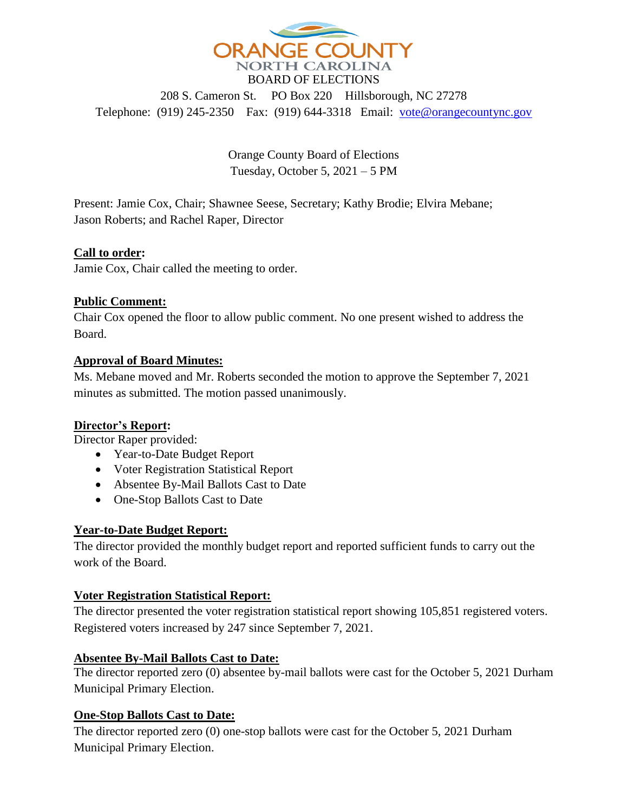

208 S. Cameron St. PO Box 220 Hillsborough, NC 27278 Telephone: (919) 245-2350 Fax: (919) 644-3318 Email: [vote@orangecountync.gov](mailto:vote@orangecountync.gov)

> Orange County Board of Elections Tuesday, October 5, 2021 – 5 PM

Present: Jamie Cox, Chair; Shawnee Seese, Secretary; Kathy Brodie; Elvira Mebane; Jason Roberts; and Rachel Raper, Director

### **Call to order:**

Jamie Cox, Chair called the meeting to order.

#### **Public Comment:**

Chair Cox opened the floor to allow public comment. No one present wished to address the Board.

#### **Approval of Board Minutes:**

Ms. Mebane moved and Mr. Roberts seconded the motion to approve the September 7, 2021 minutes as submitted. The motion passed unanimously.

# **Director's Report:**

Director Raper provided:

- Year-to-Date Budget Report
- Voter Registration Statistical Report
- Absentee By-Mail Ballots Cast to Date
- One-Stop Ballots Cast to Date

#### **Year-to-Date Budget Report:**

The director provided the monthly budget report and reported sufficient funds to carry out the work of the Board.

#### **Voter Registration Statistical Report:**

The director presented the voter registration statistical report showing 105,851 registered voters. Registered voters increased by 247 since September 7, 2021.

#### **Absentee By-Mail Ballots Cast to Date:**

The director reported zero (0) absentee by-mail ballots were cast for the October 5, 2021 Durham Municipal Primary Election.

# **One-Stop Ballots Cast to Date:**

The director reported zero (0) one-stop ballots were cast for the October 5, 2021 Durham Municipal Primary Election.